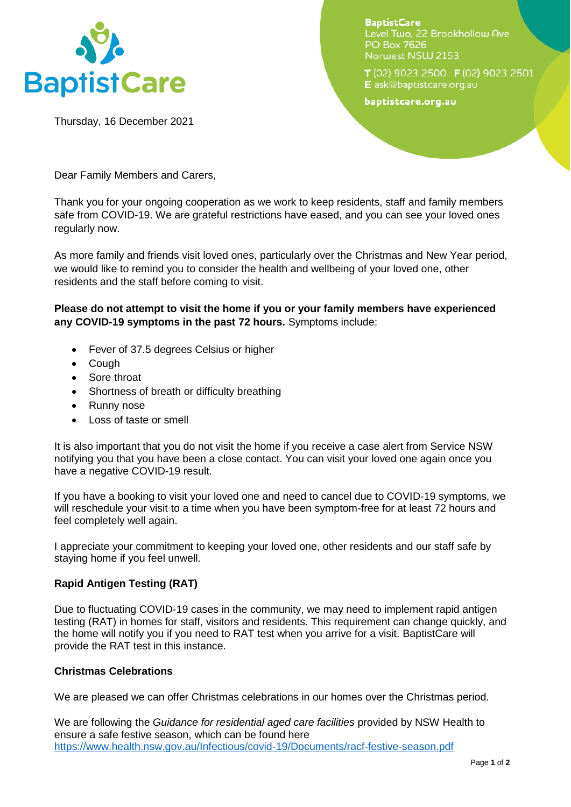

Thursday, 16 December 2021

**BaptistCare** Level Two, 22 Brookhollow Ave **PO Box 7626** Norwest NSW 2153

 $T(02)$  9023 2500  $F(02)$  9023 2501 E ask@baptistcare.org.au

baptistcare.org.au

Dear Family Members and Carers,

Thank you for your ongoing cooperation as we work to keep residents, staff and family members safe from COVID-19. We are grateful restrictions have eased, and you can see your loved ones regularly now.

As more family and friends visit loved ones, particularly over the Christmas and New Year period, we would like to remind you to consider the health and wellbeing of your loved one, other residents and the staff before coming to visit.

**Please do not attempt to visit the home if you or your family members have experienced any COVID-19 symptoms in the past 72 hours.** Symptoms include:

- Fever of 37.5 degrees Celsius or higher
- Cough
- Sore throat
- Shortness of breath or difficulty breathing
- Runny nose
- Loss of taste or smell

It is also important that you do not visit the home if you receive a case alert from Service NSW notifying you that you have been a close contact. You can visit your loved one again once you have a negative COVID-19 result.

If you have a booking to visit your loved one and need to cancel due to COVID-19 symptoms, we will reschedule your visit to a time when you have been symptom-free for at least 72 hours and feel completely well again.

I appreciate your commitment to keeping your loved one, other residents and our staff safe by staying home if you feel unwell.

## **Rapid Antigen Testing (RAT)**

Due to fluctuating COVID-19 cases in the community, we may need to implement rapid antigen testing (RAT) in homes for staff, visitors and residents. This requirement can change quickly, and the home will notify you if you need to RAT test when you arrive for a visit. BaptistCare will provide the RAT test in this instance.

## **Christmas Celebrations**

We are pleased we can offer Christmas celebrations in our homes over the Christmas period.

We are following the *Guidance for residential aged care facilities* provided by NSW Health to ensure a safe festive season, which can be found here <https://www.health.nsw.gov.au/Infectious/covid-19/Documents/racf-festive-season.pdf>